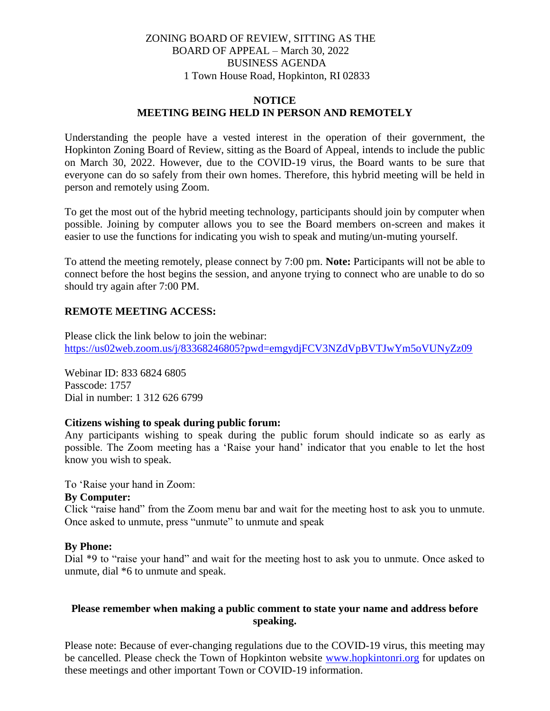# ZONING BOARD OF REVIEW, SITTING AS THE BOARD OF APPEAL – March 30, 2022 BUSINESS AGENDA 1 Town House Road, Hopkinton, RI 02833

### **NOTICE MEETING BEING HELD IN PERSON AND REMOTELY**

Understanding the people have a vested interest in the operation of their government, the Hopkinton Zoning Board of Review, sitting as the Board of Appeal, intends to include the public on March 30, 2022. However, due to the COVID-19 virus, the Board wants to be sure that everyone can do so safely from their own homes. Therefore, this hybrid meeting will be held in person and remotely using Zoom.

To get the most out of the hybrid meeting technology, participants should join by computer when possible. Joining by computer allows you to see the Board members on-screen and makes it easier to use the functions for indicating you wish to speak and muting/un-muting yourself.

To attend the meeting remotely, please connect by 7:00 pm. **Note:** Participants will not be able to connect before the host begins the session, and anyone trying to connect who are unable to do so should try again after 7:00 PM.

# **REMOTE MEETING ACCESS:**

Please click the link below to join the webinar: <https://us02web.zoom.us/j/83368246805?pwd=emgydjFCV3NZdVpBVTJwYm5oVUNyZz09>

Webinar ID: 833 6824 6805 Passcode: 1757 Dial in number: 1 312 626 6799

# **Citizens wishing to speak during public forum:**

Any participants wishing to speak during the public forum should indicate so as early as possible. The Zoom meeting has a 'Raise your hand' indicator that you enable to let the host know you wish to speak.

To 'Raise your hand in Zoom:

### **By Computer:**

Click "raise hand" from the Zoom menu bar and wait for the meeting host to ask you to unmute. Once asked to unmute, press "unmute" to unmute and speak

# **By Phone:**

Dial \*9 to "raise your hand" and wait for the meeting host to ask you to unmute. Once asked to unmute, dial \*6 to unmute and speak.

# **Please remember when making a public comment to state your name and address before speaking.**

Please note: Because of ever-changing regulations due to the COVID-19 virus, this meeting may be cancelled. Please check the Town of Hopkinton website [www.hopkintonri.org](http://www.hopkintonri.org/) for updates on these meetings and other important Town or COVID-19 information.